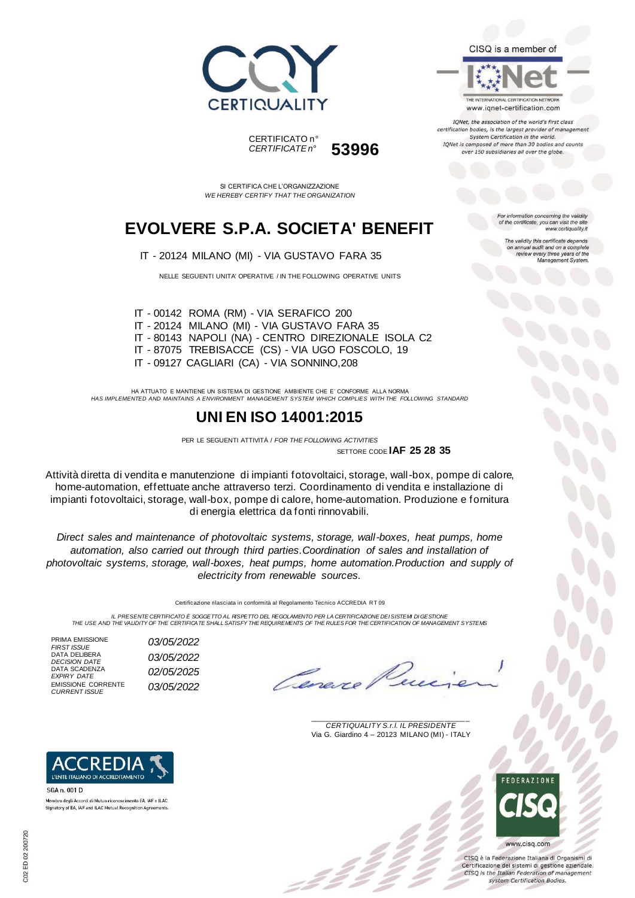





IQNet, the association of the world's first class certification bodies, is the largest provider of managen System Certification in the world. IQNet is composed of more than 30 bodies and counts over 150 subsidiaries all over the globe.

> tion concerning the validity of the certificate, you can visit the sit

The validity this certificate depends on annual audit and on a complete<br>on annual audit and on a complete<br>review every three years of the<br>Management System.

www.certiquality.it

SI CERTIFICA CHE L'ORGANIZZAZIONE

*CERTIFICATE n°* **53996**

CERTIFICATO n°

# **EVOLVERE S.P.A. SOCIETA' BENEFIT**

*WE HEREBY CERTIFY THAT THE ORGANIZATION*

IT - 20124 MILANO (MI) - VIA GUSTAVO FARA 35

NELLE SEGUENTI UNITA' OPERATIVE / IN THE FOLLOWING OPERATIVE UNITS

IT - 00142 ROMA (RM) - VIA SERAFICO 200 IT - 20124 MILANO (MI) - VIA GUSTAVO FARA 35 IT - 80143 NAPOLI (NA) - CENTRO DIREZIONALE ISOLA C2 IT - 87075 TREBISACCE (CS) - VIA UGO FOSCOLO, 19 IT - 09127 CAGLIARI (CA) - VIA SONNINO,208

HA ATTUATO E MANTIENE UN SISTEMA DI GESTIONE AMBIENTE CHE E' CONFORME ALLA NORMA *HAS IMPLEMENTED AND MAINTAINS A ENVIRONMENT MANAGEMENT SYSTEM WHICH COMPLIES WITH THE FOLLOWING STANDARD*

## **UNI EN ISO 14001:2015**

PER LE SEGUENTI ATTIVITÀ / *FOR THE FOLLOWING ACTIVITIES*

SETTORE CODE **IAF 25 28 35**

Attività diretta di vendita e manutenzione di impianti fotovoltaici, storage, wall-box, pompe di calore, home-automation, effettuate anche attraverso terzi. Coordinamento di vendita e installazione di impianti fotovoltaici, storage, wall-box, pompe di calore, home-automation. Produzione e fornitura di energia elettrica da fonti rinnovabili.

*Direct sales and maintenance of photovoltaic systems, storage, wall-boxes, heat pumps, home automation, also carried out through third parties.Coordination of sales and installation of photovoltaic systems, storage, wall-boxes, heat pumps, home automation.Production and supply of electricity from renewable sources.*

#### Certificazione rilasciata in conformità al Regolamento Tecnico ACCREDIA RT 09

IL PRESENTE CERTIFICATO E SOGGETTO AL RISPETTO DEL REGOLAMENTO PER LA CERTIFICAZIONE DEI SISTEMI DI GESTIONE<br>THE USE AND THE VALIDITY OF THE CERTIFICATE SHALL SATISFY THE REQUIREMENTS OF THE RULES FOR THE CERTIFICATION OF

PRIMA EMISSIONE<br>FIRST ISSUE DATA DELIBERA *DECISION DATE 03/05/2022* DATA SCADENZA<br>EXPIRY DATE EMISSIONE CORRENTE *CURRENT ISSUE 03/05/2022*

*FIRST ISSUE 03/05/2022 EXPIRY DATE 02/05/2025*

Cene

\_\_\_\_\_\_\_\_\_\_\_\_\_\_\_\_\_\_\_\_\_\_\_\_\_\_\_\_\_\_\_\_\_\_\_\_\_\_\_ *CERTIQUALITY S.r.l. IL PRESIDENTE* Via G. Giardino 4 – 20123 MILANO (MI) - ITALY



SGA n. 001 D Membro degli Accordi di Mutuo riconoscimento EA, IAF e ILAC Signatory of EA, IAF and ILAC Mutual Recognition Agreen



CISO è la Federazione Italiana di Organismi di Certificazione dei sistemi di gestione aziendale. CISQ is the Italian Federation of management system Certification Bodies.